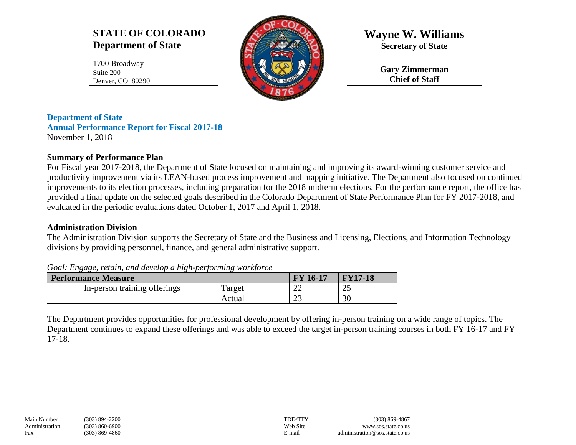# **STATE OF COLORADO Department of State**

1700 Broadway Suite 200 Denver, CO 80290



**Wayne W. Williams Secretary of State**

> **Gary Zimmerman Chief of Staff**

**Department of State Annual Performance Report for Fiscal 2017-18** November 1, 2018

## **Summary of Performance Plan**

For Fiscal year 2017-2018, the Department of State focused on maintaining and improving its award-winning customer service and productivity improvement via its LEAN-based process improvement and mapping initiative. The Department also focused on continued improvements to its election processes, including preparation for the 2018 midterm elections. For the performance report, the office has provided a final update on the selected goals described in the Colorado Department of State Performance Plan for FY 2017-2018, and evaluated in the periodic evaluations dated October 1, 2017 and April 1, 2018.

## **Administration Division**

The Administration Division supports the Secretary of State and the Business and Licensing, Elections, and Information Technology divisions by providing personnel, finance, and general administrative support.

*Goal: Engage, retain, and develop a high-performing workforce*

| <b>Performance Measure</b>   |         | <b>FY 16-17</b> | <b>FY17-18</b> |
|------------------------------|---------|-----------------|----------------|
| In-person training offerings | l'arget | ∠∠              | ∠~             |
|                              | Actual  | $\cap$<br>ت     | 30             |

The Department provides opportunities for professional development by offering in-person training on a wide range of topics. The Department continues to expand these offerings and was able to exceed the target in-person training courses in both FY 16-17 and FY 17-18.

| Main Number    | $(303) 894 - 2$ |
|----------------|-----------------|
| Administration | $(303) 860 - 6$ |
| Fax            | $(303) 869 - 4$ |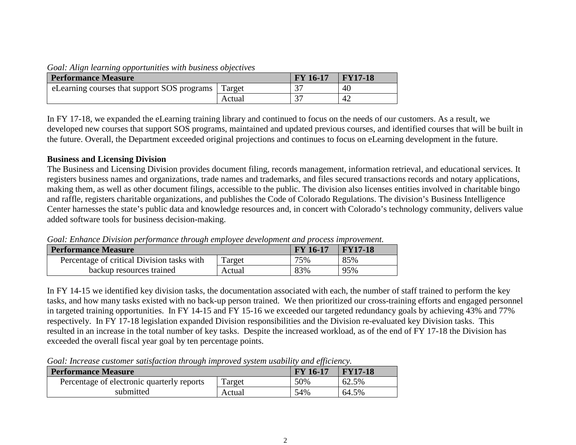#### *Goal: Align learning opportunities with business objectives*

| <b>Performance Measure</b>                  |        | <b>FY 16-17</b> | <b>FY17-18</b> |
|---------------------------------------------|--------|-----------------|----------------|
| eLearning courses that support SOS programs | Target | n <del></del>   | 40             |
|                                             | Actual |                 | 42             |

In FY 17-18, we expanded the eLearning training library and continued to focus on the needs of our customers. As a result, we developed new courses that support SOS programs, maintained and updated previous courses, and identified courses that will be built in the future. Overall, the Department exceeded original projections and continues to focus on eLearning development in the future.

#### **Business and Licensing Division**

The Business and Licensing Division provides document filing, records management, information retrieval, and educational services. It registers business names and organizations, trade names and trademarks, and files secured transactions records and notary applications, making them, as well as other document filings, accessible to the public. The division also licenses entities involved in charitable bingo and raffle, registers charitable organizations, and publishes the Code of Colorado Regulations. The division's Business Intelligence Center harnesses the state's public data and knowledge resources and, in concert with Colorado's technology community, delivers value added software tools for business decision-making.

*Goal: Enhance Division performance through employee development and process improvement.*

| <b>Performance Measure</b>                 |        | <b>FY</b> 16-17 | $\blacktriangleright$ FY17-18 |
|--------------------------------------------|--------|-----------------|-------------------------------|
| Percentage of critical Division tasks with | Target | 75%             | 85%                           |
| backup resources trained                   | Actual | 83%             | 95%                           |

In FY 14-15 we identified key division tasks, the documentation associated with each, the number of staff trained to perform the key tasks, and how many tasks existed with no back-up person trained. We then prioritized our cross-training efforts and engaged personnel in targeted training opportunities. In FY 14-15 and FY 15-16 we exceeded our targeted redundancy goals by achieving 43% and 77% respectively. In FY 17-18 legislation expanded Division responsibilities and the Division re-evaluated key Division tasks. This resulted in an increase in the total number of key tasks. Despite the increased workload, as of the end of FY 17-18 the Division has exceeded the overall fiscal year goal by ten percentage points.

*Goal: Increase customer satisfaction through improved system usability and efficiency.*

| <b>Performance Measure</b>                 |        | <b>FY 16-17</b> | <b>FY17-18</b> |
|--------------------------------------------|--------|-----------------|----------------|
| Percentage of electronic quarterly reports | Target | 50%             | 62.5%          |
| submitted                                  | Actual | 54%             | 64.5%          |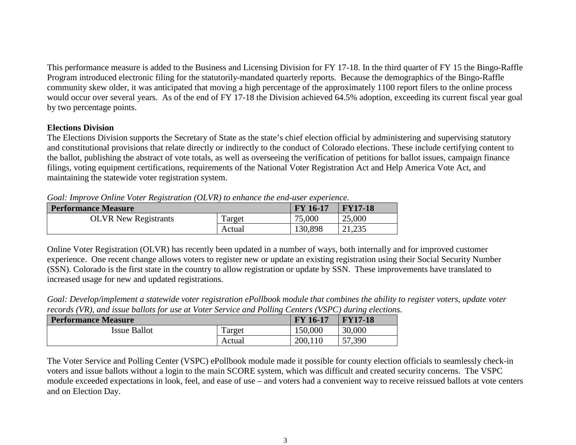This performance measure is added to the Business and Licensing Division for FY 17-18. In the third quarter of FY 15 the Bingo-Raffle Program introduced electronic filing for the statutorily-mandated quarterly reports. Because the demographics of the Bingo-Raffle community skew older, it was anticipated that moving a high percentage of the approximately 1100 report filers to the online process would occur over several years. As of the end of FY 17-18 the Division achieved 64.5% adoption, exceeding its current fiscal year goal by two percentage points.

### **Elections Division**

The Elections Division supports the Secretary of State as the state's chief election official by administering and supervising statutory and constitutional provisions that relate directly or indirectly to the conduct of Colorado elections. These include certifying content to the ballot, publishing the abstract of vote totals, as well as overseeing the verification of petitions for ballot issues, campaign finance filings, voting equipment certifications, requirements of the National Voter Registration Act and Help America Vote Act, and maintaining the statewide voter registration system.

| Oval. miprove Onthic voice Registration (ODVR) to childred the character experience. |        |                 |             |  |
|--------------------------------------------------------------------------------------|--------|-----------------|-------------|--|
| <b>Performance Measure</b>                                                           |        | <b>FY 16-17</b> | $ $ FY17-18 |  |
| <b>OLVR</b> New Registrants                                                          | Target | 75,000          | 25,000      |  |
|                                                                                      | Actual | 130,898         | 21,235      |  |

*Goal: Improve Online Voter Registration (OLVR) to enhance the end-user experience.*

Online Voter Registration (OLVR) has recently been updated in a number of ways, both internally and for improved customer experience. One recent change allows voters to register new or update an existing registration using their Social Security Number (SSN). Colorado is the first state in the country to allow registration or update by SSN. These improvements have translated to increased usage for new and updated registrations.

*Goal: Develop/implement a statewide voter registration ePollbook module that combines the ability to register voters, update voter records (VR), and issue ballots for use at Voter Service and Polling Centers (VSPC) during elections.*

| <b>Performance Measure</b> |        | <b>FY 16-17</b> | <b>FY17-18</b> |
|----------------------------|--------|-----------------|----------------|
| <b>Issue Ballot</b>        | arget  | 150,000         | 30,000         |
|                            | Actual | 200,110         | 57,390         |

The Voter Service and Polling Center (VSPC) ePollbook module made it possible for county election officials to seamlessly check-in voters and issue ballots without a login to the main SCORE system, which was difficult and created security concerns. The VSPC module exceeded expectations in look, feel, and ease of use – and voters had a convenient way to receive reissued ballots at vote centers and on Election Day.